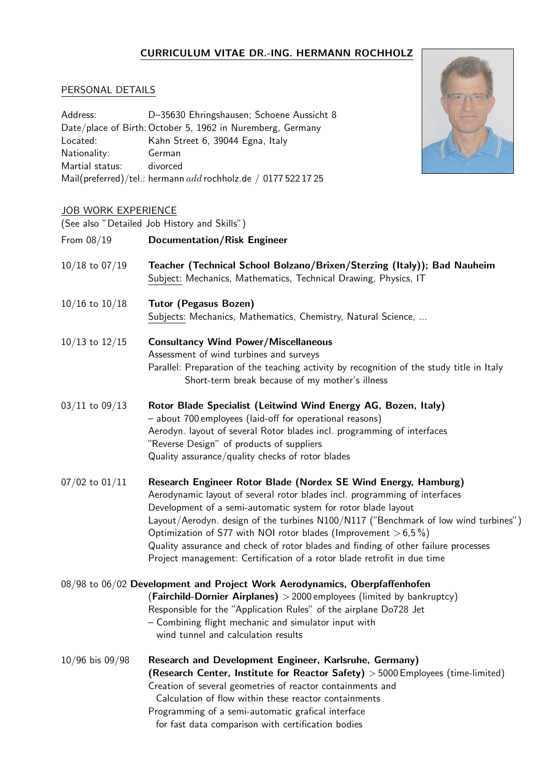## CURRICULUM VITAE DR.-ING. HERMANN ROCHHOLZ

## PERSONAL DETAILS

| Address:        | D-35630 Ehringshausen; Schoene Aussicht 8                        |
|-----------------|------------------------------------------------------------------|
|                 | Date/place of Birth: October 5, 1962 in Nuremberg, Germany       |
| Located:        | Kahn Street 6, 39044 Egna, Italy                                 |
| Nationality:    | German                                                           |
| Martial status: | divorced                                                         |
|                 | Mail(preferred)/tel.: hermann $add$ rochholz.de / 0177 522 17 25 |

## JOB WORK EXPERIENCE

(See also "Detailed Job History and Skills")

|                    | (See also Detailed Job Firstony and JKins $\mu$                                                                                                                                                                                                                                                                                                                                                                                                                                                                                             |
|--------------------|---------------------------------------------------------------------------------------------------------------------------------------------------------------------------------------------------------------------------------------------------------------------------------------------------------------------------------------------------------------------------------------------------------------------------------------------------------------------------------------------------------------------------------------------|
| From 08/19         | <b>Documentation/Risk Engineer</b>                                                                                                                                                                                                                                                                                                                                                                                                                                                                                                          |
| $10/18$ to $07/19$ | Teacher (Technical School Bolzano/Brixen/Sterzing (Italy)); Bad Nauheim<br>Subject: Mechanics, Mathematics, Technical Drawing, Physics, IT                                                                                                                                                                                                                                                                                                                                                                                                  |
| $10/16$ to $10/18$ | <b>Tutor (Pegasus Bozen)</b><br>Subjects: Mechanics, Mathematics, Chemistry, Natural Science,                                                                                                                                                                                                                                                                                                                                                                                                                                               |
| $10/13$ to $12/15$ | <b>Consultancy Wind Power/Miscellaneous</b><br>Assessment of wind turbines and surveys<br>Parallel: Preparation of the teaching activity by recognition of the study title in Italy<br>Short-term break because of my mother's illness                                                                                                                                                                                                                                                                                                      |
| $03/11$ to $09/13$ | Rotor Blade Specialist (Leitwind Wind Energy AG, Bozen, Italy)<br>- about 700 employees (laid-off for operational reasons)<br>Aerodyn. layout of several Rotor blades incl. programming of interfaces<br>"Reverse Design" of products of suppliers<br>Quality assurance/quality checks of rotor blades                                                                                                                                                                                                                                      |
| $07/02$ to $01/11$ | Research Engineer Rotor Blade (Nordex SE Wind Energy, Hamburg)<br>Aerodynamic layout of several rotor blades incl. programming of interfaces<br>Development of a semi-automatic system for rotor blade layout<br>Layout/Aerodyn. design of the turbines N100/N117 ("Benchmark of low wind turbines")<br>Optimization of S77 with NOI rotor blades (Improvement $> 6.5\%$ )<br>Quality assurance and check of rotor blades and finding of other failure processes<br>Project management: Certification of a rotor blade retrofit in due time |
|                    | $08/98$ to $06/02$ Development and Project Work Aerodynamics, Oberpfaffenhofen<br>(Fairchild-Dornier Airplanes) $>$ 2000 employees (limited by bankruptcy)<br>Responsible for the "Application Rules" of the airplane Do728 Jet<br>- Combining flight mechanic and simulator input with<br>wind tunnel and calculation results                                                                                                                                                                                                              |
| 10/96 bis 09/98    | Research and Development Engineer, Karlsruhe, Germany)<br>(Research Center, Institute for Reactor Safety) > 5000 Employees (time-limited)<br>Creation of several geometries of reactor containments and<br>Calculation of flow within these reactor containments<br>Programming of a semi-automatic grafical interface<br>for fast data comparison with certification bodies                                                                                                                                                                |
|                    |                                                                                                                                                                                                                                                                                                                                                                                                                                                                                                                                             |

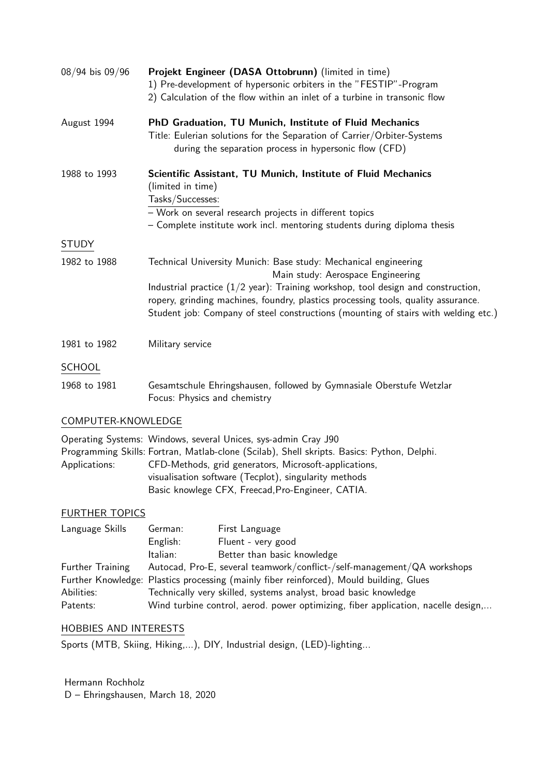| 08/94 bis 09/96                                                       | Projekt Engineer (DASA Ottobrunn) (limited in time)<br>1) Pre-development of hypersonic orbiters in the "FESTIP"-Program<br>2) Calculation of the flow within an inlet of a turbine in transonic flow                                                                                                                                                                          |  |
|-----------------------------------------------------------------------|--------------------------------------------------------------------------------------------------------------------------------------------------------------------------------------------------------------------------------------------------------------------------------------------------------------------------------------------------------------------------------|--|
| August 1994                                                           | PhD Graduation, TU Munich, Institute of Fluid Mechanics<br>Title: Eulerian solutions for the Separation of Carrier/Orbiter-Systems<br>during the separation process in hypersonic flow (CFD)                                                                                                                                                                                   |  |
| 1988 to 1993                                                          | Scientific Assistant, TU Munich, Institute of Fluid Mechanics<br>(limited in time)<br>Tasks/Successes:<br>- Work on several research projects in different topics<br>- Complete institute work incl. mentoring students during diploma thesis                                                                                                                                  |  |
| <b>STUDY</b>                                                          |                                                                                                                                                                                                                                                                                                                                                                                |  |
| 1982 to 1988                                                          | Technical University Munich: Base study: Mechanical engineering<br>Main study: Aerospace Engineering<br>Industrial practice $(1/2 \text{ year})$ : Training workshop, tool design and construction,<br>ropery, grinding machines, foundry, plastics processing tools, quality assurance.<br>Student job: Company of steel constructions (mounting of stairs with welding etc.) |  |
| 1981 to 1982                                                          | Military service                                                                                                                                                                                                                                                                                                                                                               |  |
| <b>SCHOOL</b>                                                         |                                                                                                                                                                                                                                                                                                                                                                                |  |
| 1968 to 1981                                                          | Gesamtschule Ehringshausen, followed by Gymnasiale Oberstufe Wetzlar<br>Focus: Physics and chemistry                                                                                                                                                                                                                                                                           |  |
| COMPUTER-KNOWLEDGE                                                    |                                                                                                                                                                                                                                                                                                                                                                                |  |
| Applications:                                                         | Operating Systems: Windows, several Unices, sys-admin Cray J90<br>Programming Skills: Fortran, Matlab-clone (Scilab), Shell skripts. Basics: Python, Delphi.<br>CFD-Methods, grid generators, Microsoft-applications,<br>visualisation software (Tecplot), singularity methods<br>Basic knowlege CFX, Freecad, Pro-Engineer, CATIA.                                            |  |
| <b>FURTHER TOPICS</b>                                                 |                                                                                                                                                                                                                                                                                                                                                                                |  |
| Language Skills                                                       | German:<br>First Language<br>English:<br>Fluent - very good<br>Better than basic knowledge<br>Italian:                                                                                                                                                                                                                                                                         |  |
| <b>Further Training</b><br>Abilities:<br>Patents:                     | Autocad, Pro-E, several teamwork/conflict-/self-management/QA workshops<br>Further Knowledge: Plastics processing (mainly fiber reinforced), Mould building, Glues<br>Technically very skilled, systems analyst, broad basic knowledge<br>Wind turbine control, aerod. power optimizing, fiber application, nacelle design,                                                    |  |
| <b>HOBBIES AND INTERESTS</b>                                          |                                                                                                                                                                                                                                                                                                                                                                                |  |
| Sports (MTB, Skiing, Hiking,), DIY, Industrial design, (LED)-lighting |                                                                                                                                                                                                                                                                                                                                                                                |  |

Hermann Rochholz D – Ehringshausen, March 18, 2020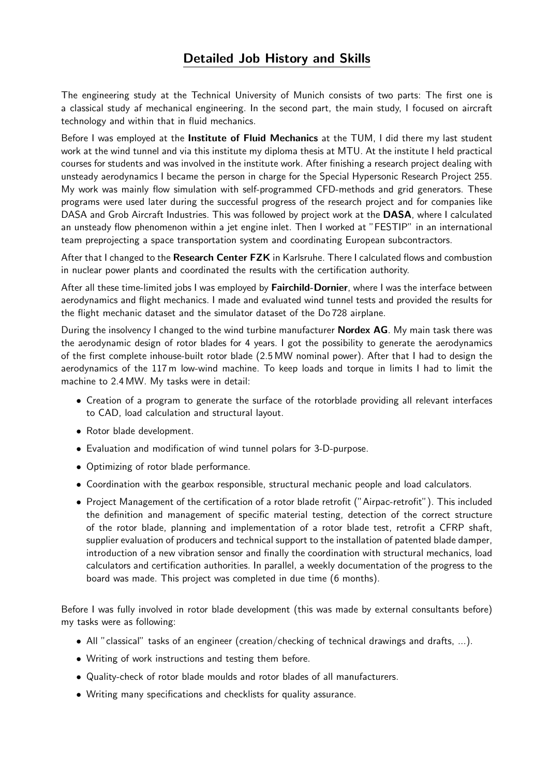## Detailed Job History and Skills

The engineering study at the Technical University of Munich consists of two parts: The first one is a classical study af mechanical engineering. In the second part, the main study, I focused on aircraft technology and within that in fluid mechanics.

Before I was employed at the **Institute of Fluid Mechanics** at the TUM, I did there my last student work at the wind tunnel and via this institute my diploma thesis at MTU. At the institute I held practical courses for students and was involved in the institute work. After finishing a research project dealing with unsteady aerodynamics I became the person in charge for the Special Hypersonic Research Project 255. My work was mainly flow simulation with self-programmed CFD-methods and grid generators. These programs were used later during the successful progress of the research project and for companies like DASA and Grob Aircraft Industries. This was followed by project work at the DASA, where I calculated an unsteady flow phenomenon within a jet engine inlet. Then I worked at "FESTIP" in an international team preprojecting a space transportation system and coordinating European subcontractors.

After that I changed to the Research Center FZK in Karlsruhe. There I calculated flows and combustion in nuclear power plants and coordinated the results with the certification authority.

After all these time-limited jobs I was employed by Fairchild-Dornier, where I was the interface between aerodynamics and flight mechanics. I made and evaluated wind tunnel tests and provided the results for the flight mechanic dataset and the simulator dataset of the Do 728 airplane.

During the insolvency I changed to the wind turbine manufacturer **Nordex AG**. My main task there was the aerodynamic design of rotor blades for 4 years. I got the possibility to generate the aerodynamics of the first complete inhouse-built rotor blade (2.5 MW nominal power). After that I had to design the aerodynamics of the 117 m low-wind machine. To keep loads and torque in limits I had to limit the machine to 2.4 MW. My tasks were in detail:

- Creation of a program to generate the surface of the rotorblade providing all relevant interfaces to CAD, load calculation and structural layout.
- Rotor blade development.
- Evaluation and modification of wind tunnel polars for 3-D-purpose.
- Optimizing of rotor blade performance.
- Coordination with the gearbox responsible, structural mechanic people and load calculators.
- Project Management of the certification of a rotor blade retrofit ("Airpac-retrofit"). This included the definition and management of specific material testing, detection of the correct structure of the rotor blade, planning and implementation of a rotor blade test, retrofit a CFRP shaft, supplier evaluation of producers and technical support to the installation of patented blade damper, introduction of a new vibration sensor and finally the coordination with structural mechanics, load calculators and certification authorities. In parallel, a weekly documentation of the progress to the board was made. This project was completed in due time (6 months).

Before I was fully involved in rotor blade development (this was made by external consultants before) my tasks were as following:

- All "classical" tasks of an engineer (creation/checking of technical drawings and drafts, ...).
- Writing of work instructions and testing them before.
- Quality-check of rotor blade moulds and rotor blades of all manufacturers.
- Writing many specifications and checklists for quality assurance.